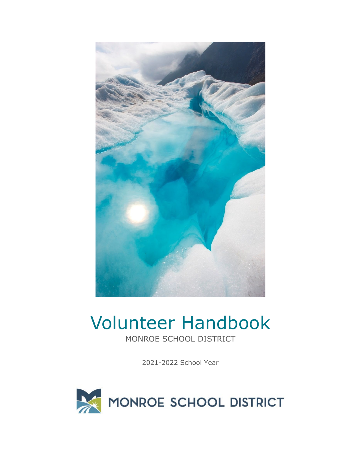

# Volunteer Handbook

MONROE SCHOOL DISTRICT

2021-2022 School Year

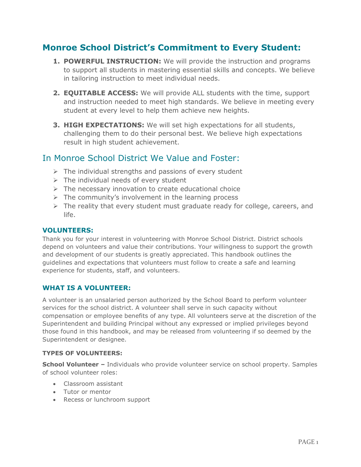# **Monroe School District's Commitment to Every Student:**

- **1. POWERFUL INSTRUCTION:** We will provide the instruction and programs to support all students in mastering essential skills and concepts. We believe in tailoring instruction to meet individual needs.
- **2. EQUITABLE ACCESS:** We will provide ALL students with the time, support and instruction needed to meet high standards. We believe in meeting every student at every level to help them achieve new heights.
- **3. HIGH EXPECTATIONS:** We will set high expectations for all students, challenging them to do their personal best. We believe high expectations result in high student achievement.

# In Monroe School District We Value and Foster:

- $\triangleright$  The individual strengths and passions of every student
- $\triangleright$  The individual needs of every student
- $\triangleright$  The necessary innovation to create educational choice
- $\triangleright$  The community's involvement in the learning process
- $\triangleright$  The reality that every student must graduate ready for college, careers, and life.

## **VOLUNTEERS:**

Thank you for your interest in volunteering with Monroe School District. District schools depend on volunteers and value their contributions. Your willingness to support the growth and development of our students is greatly appreciated. This handbook outlines the guidelines and expectations that volunteers must follow to create a safe and learning experience for students, staff, and volunteers.

# **WHAT IS A VOLUNTEER:**

A volunteer is an unsalaried person authorized by the School Board to perform volunteer services for the school district. A volunteer shall serve in such capacity without compensation or employee benefits of any type. All volunteers serve at the discretion of the Superintendent and building Principal without any expressed or implied privileges beyond those found in this handbook, and may be released from volunteering if so deemed by the Superintendent or designee.

#### **TYPES OF VOLUNTEERS:**

**School Volunteer –** Individuals who provide volunteer service on school property. Samples of school volunteer roles:

- Classroom assistant
- Tutor or mentor
- Recess or lunchroom support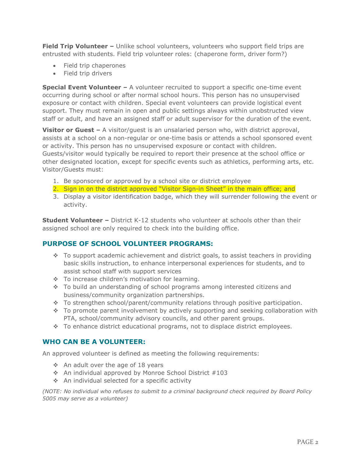**Field Trip Volunteer -** Unlike school volunteers, volunteers who support field trips are entrusted with students. Field trip volunteer roles: (chaperone form, driver form?)

- Field trip chaperones
- Field trip drivers

**Special Event Volunteer –** A volunteer recruited to support a specific one-time event occurring during school or after normal school hours. This person has no unsupervised exposure or contact with children. Special event volunteers can provide logistical event support. They must remain in open and public settings always within unobstructed view staff or adult, and have an assigned staff or adult supervisor for the duration of the event.

**Visitor or Guest –** A visitor/quest is an unsalaried person who, with district approval, assists at a school on a non-regular or one-time basis or attends a school sponsored event or activity. This person has no unsupervised exposure or contact with children. Guests/visitor would typically be required to report their presence at the school office or other designated location, except for specific events such as athletics, performing arts, etc. Visitor/Guests must:

- 1. Be sponsored or approved by a school site or district employee
- 2. Sign in on the district approved "Visitor Sign-in Sheet" in the main office; and
- 3. Display a visitor identification badge, which they will surrender following the event or activity.

**Student Volunteer –** District K-12 students who volunteer at schools other than their assigned school are only required to check into the building office.

#### **PURPOSE OF SCHOOL VOLUNTEER PROGRAMS:**

- $\bullet$  To support academic achievement and district goals, to assist teachers in providing basic skills instruction, to enhance interpersonal experiences for students, and to assist school staff with support services
- \* To increase children's motivation for learning.
- $\cdot$  To build an understanding of school programs among interested citizens and business/community organization partnerships.
- To strengthen school/parent/community relations through positive participation.
- $\cdot$  To promote parent involvement by actively supporting and seeking collaboration with PTA, school/community advisory councils, and other parent groups.
- To enhance district educational programs, not to displace district employees.

#### **WHO CAN BE A VOLUNTEER:**

An approved volunteer is defined as meeting the following requirements:

- $\div$  An adult over the age of 18 years
- $\cdot$  An individual approved by Monroe School District #103
- An individual selected for a specific activity

*(NOTE: No individual who refuses to submit to a criminal background check required by Board Policy 5005 may serve as a volunteer)*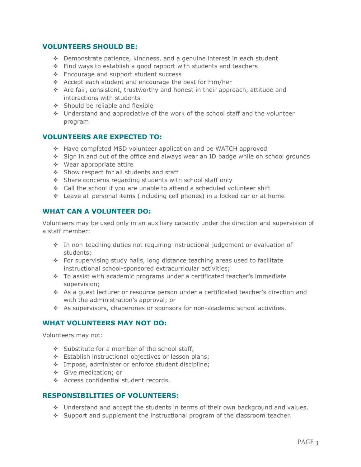## **VOLUNTEERS SHOULD BE:**

- Demonstrate patience, kindness, and a genuine interest in each student
- Find ways to establish a good rapport with students and teachers
- ❖ Encourage and support student success
- Accept each student and encourage the best for him/her
- Are fair, consistent, trustworthy and honest in their approach, attitude and interactions with students
- $\div$  Should be reliable and flexible
- Understand and appreciative of the work of the school staff and the volunteer program

# **VOLUNTEERS ARE EXPECTED TO:**

- Have completed MSD volunteer application and be WATCH approved
- Sign in and out of the office and always wear an ID badge while on school grounds
- Wear appropriate attire
- Show respect for all students and staff
- Share concerns regarding students with school staff only
- Call the school if you are unable to attend a scheduled volunteer shift
- Leave all personal items (including cell phones) in a locked car or at home

#### **WHAT CAN A VOLUNTEER DO:**

Volunteers may be used only in an auxiliary capacity under the direction and supervision of a staff member:

- In non-teaching duties not requiring instructional judgement or evaluation of students;
- For supervising study halls, long distance teaching areas used to facilitate instructional school-sponsored extracurricular activities;
- To assist with academic programs under a certificated teacher's immediate supervision;
- As a guest lecturer or resource person under a certificated teacher's direction and with the administration's approval; or
- As supervisors, chaperones or sponsors for non-academic school activities.

#### **WHAT VOLUNTEERS MAY NOT DO:**

Volunteers may not:

- $\div$  Substitute for a member of the school staff;
- Establish instructional objectives or lesson plans;
- \* Impose, administer or enforce student discipline;
- Give medication; or
- \* Access confidential student records.

#### **RESPONSIBILITIES OF VOLUNTEERS:**

- Understand and accept the students in terms of their own background and values.
- $\bullet$  Support and supplement the instructional program of the classroom teacher.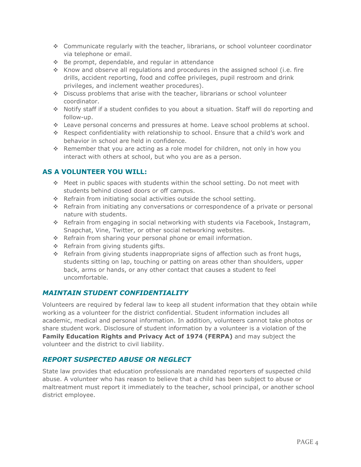- Communicate regularly with the teacher, librarians, or school volunteer coordinator via telephone or email.
- Be prompt, dependable, and regular in attendance
- $\cdot$  Know and observe all regulations and procedures in the assigned school (i.e. fire drills, accident reporting, food and coffee privileges, pupil restroom and drink privileges, and inclement weather procedures).
- Discuss problems that arise with the teacher, librarians or school volunteer coordinator.
- Notify staff if a student confides to you about a situation. Staff will do reporting and follow-up.
- Leave personal concerns and pressures at home. Leave school problems at school.
- Respect confidentiality with relationship to school. Ensure that a child's work and behavior in school are held in confidence.
- Remember that you are acting as a role model for children, not only in how you interact with others at school, but who you are as a person.

# **AS A VOLUNTEER YOU WILL:**

- Meet in public spaces with students within the school setting. Do not meet with students behind closed doors or off campus.
- \* Refrain from initiating social activities outside the school setting.
- Refrain from initiating any conversations or correspondence of a private or personal nature with students.
- Refrain from engaging in social networking with students via Facebook, Instagram, Snapchat, Vine, Twitter, or other social networking websites.
- \* Refrain from sharing your personal phone or email information.
- $\triangle$  Refrain from giving students gifts.
- Refrain from giving students inappropriate signs of affection such as front hugs, students sitting on lap, touching or patting on areas other than shoulders, upper back, arms or hands, or any other contact that causes a student to feel uncomfortable.

# *MAINTAIN STUDENT CONFIDENTIALITY*

Volunteers are required by federal law to keep all student information that they obtain while working as a volunteer for the district confidential. Student information includes all academic, medical and personal information. In addition, volunteers cannot take photos or share student work. Disclosure of student information by a volunteer is a violation of the **Family Education Rights and Privacy Act of 1974 (FERPA)** and may subject the volunteer and the district to civil liability.

# *REPORT SUSPECTED ABUSE OR NEGLECT*

State law provides that education professionals are mandated reporters of suspected child abuse. A volunteer who has reason to believe that a child has been subject to abuse or maltreatment must report it immediately to the teacher, school principal, or another school district employee.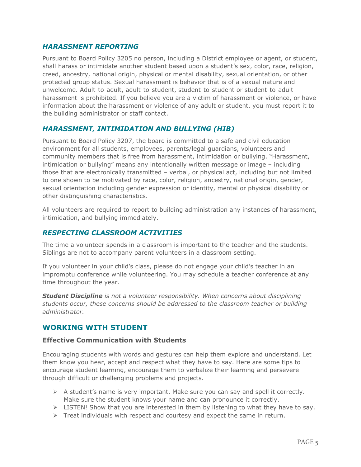# *HARASSMENT REPORTING*

Pursuant to Board Policy 3205 no person, including a District employee or agent, or student, shall harass or intimidate another student based upon a student's sex, color, race, religion, creed, ancestry, national origin, physical or mental disability, sexual orientation, or other protected group status. Sexual harassment is behavior that is of a sexual nature and unwelcome. Adult-to-adult, adult-to-student, student-to-student or student-to-adult harassment is prohibited. If you believe you are a victim of harassment or violence, or have information about the harassment or violence of any adult or student, you must report it to the building administrator or staff contact.

# *HARASSMENT, INTIMIDATION AND BULLYING (HIB)*

Pursuant to Board Policy 3207, the board is committed to a safe and civil education environment for all students, employees, parents/legal guardians, volunteers and community members that is free from harassment, intimidation or bullying. "Harassment, intimidation or bullying" means any intentionally written message or image – including those that are electronically transmitted – verbal, or physical act, including but not limited to one shown to be motivated by race, color, religion, ancestry, national origin, gender, sexual orientation including gender expression or identity, mental or physical disability or other distinguishing characteristics.

All volunteers are required to report to building administration any instances of harassment, intimidation, and bullying immediately.

# *RESPECTING CLASSROOM ACTIVITIES*

The time a volunteer spends in a classroom is important to the teacher and the students. Siblings are not to accompany parent volunteers in a classroom setting.

If you volunteer in your child's class, please do not engage your child's teacher in an impromptu conference while volunteering. You may schedule a teacher conference at any time throughout the year.

*Student Discipline is not a volunteer responsibility. When concerns about disciplining students occur, these concerns should be addressed to the classroom teacher or building administrator.*

# **WORKING WITH STUDENT**

#### **Effective Communication with Students**

Encouraging students with words and gestures can help them explore and understand. Let them know you hear, accept and respect what they have to say. Here are some tips to encourage student learning, encourage them to verbalize their learning and persevere through difficult or challenging problems and projects.

- $\triangleright$  A student's name is very important. Make sure you can say and spell it correctly. Make sure the student knows your name and can pronounce it correctly.
- $\triangleright$  LISTEN! Show that you are interested in them by listening to what they have to say.
- $\triangleright$  Treat individuals with respect and courtesy and expect the same in return.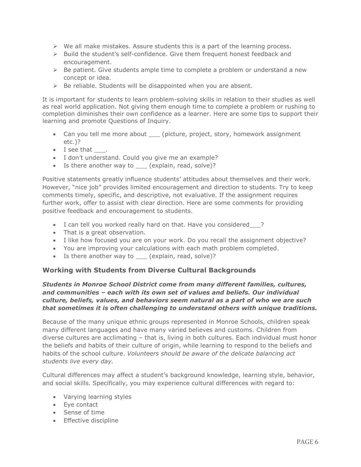- $\triangleright$  We all make mistakes. Assure students this is a part of the learning process.
- $\triangleright$  Build the student's self-confidence. Give them frequent honest feedback and encouragement.
- $\triangleright$  Be patient. Give students ample time to complete a problem or understand a new concept or idea.
- $\triangleright$  Be reliable. Students will be disappointed when you are absent.

It is important for students to learn problem-solving skills in relation to their studies as well as real world application. Not giving them enough time to complete a problem or rushing to completion diminishes their own confidence as a learner. Here are some tips to support their learning and promote Questions of Inquiry.

- Can you tell me more about \_\_\_ (picture, project, story, homework assignment etc.)?
- I see that .
- I don't understand. Could you give me an example?
- Is there another way to \_\_\_\_ (explain, read, solve)?

Positive statements greatly influence students' attitudes about themselves and their work. However, "nice job" provides limited encouragement and direction to students. Try to keep comments timely, specific, and descriptive, not evaluative. If the assignment requires further work, offer to assist with clear direction. Here are some comments for providing positive feedback and encouragement to students.

- I can tell you worked really hard on that. Have you considered ?
- That is a great observation.
- I like how focused you are on your work. Do you recall the assignment objective?
- You are improving your calculations with each math problem completed.
- Is there another way to \_\_\_ (explain, read, solve)?

#### **Working with Students from Diverse Cultural Backgrounds**

#### *Students in Monroe School District come from many different families, cultures, and communities – each with its own set of values and beliefs. Our individual culture, beliefs, values, and behaviors seem natural as a part of who we are such that sometimes it is often challenging to understand others with unique traditions.*

Because of the many unique ethnic groups represented in Monroe Schools, children speak many different languages and have many varied believes and customs. Children from diverse cultures are acclimating – that is, living in both cultures. Each individual must honor the beliefs and habits of their culture of origin, while learning to respond to the beliefs and habits of the school culture. *Volunteers should be aware of the delicate balancing act students live every day.*

Cultural differences may affect a student's background knowledge, learning style, behavior, and social skills. Specifically, you may experience cultural differences with regard to:

- Varying learning styles
- Eye contact
- Sense of time
- Effective discipline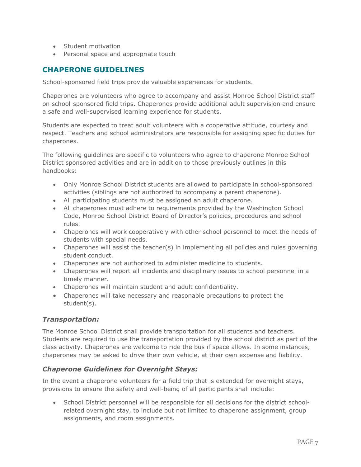- Student motivation
- Personal space and appropriate touch

# **CHAPERONE GUIDELINES**

School-sponsored field trips provide valuable experiences for students.

Chaperones are volunteers who agree to accompany and assist Monroe School District staff on school-sponsored field trips. Chaperones provide additional adult supervision and ensure a safe and well-supervised learning experience for students.

Students are expected to treat adult volunteers with a cooperative attitude, courtesy and respect. Teachers and school administrators are responsible for assigning specific duties for chaperones.

The following guidelines are specific to volunteers who agree to chaperone Monroe School District sponsored activities and are in addition to those previously outlines in this handbooks:

- Only Monroe School District students are allowed to participate in school-sponsored activities (siblings are not authorized to accompany a parent chaperone).
- All participating students must be assigned an adult chaperone.
- All chaperones must adhere to requirements provided by the Washington School Code, Monroe School District Board of Director's policies, procedures and school rules.
- Chaperones will work cooperatively with other school personnel to meet the needs of students with special needs.
- Chaperones will assist the teacher(s) in implementing all policies and rules governing student conduct.
- Chaperones are not authorized to administer medicine to students.
- Chaperones will report all incidents and disciplinary issues to school personnel in a timely manner.
- Chaperones will maintain student and adult confidentiality.
- Chaperones will take necessary and reasonable precautions to protect the student(s).

#### *Transportation:*

The Monroe School District shall provide transportation for all students and teachers. Students are required to use the transportation provided by the school district as part of the class activity. Chaperones are welcome to ride the bus if space allows. In some instances, chaperones may be asked to drive their own vehicle, at their own expense and liability.

# *Chaperone Guidelines for Overnight Stays:*

In the event a chaperone volunteers for a field trip that is extended for overnight stays, provisions to ensure the safety and well-being of all participants shall include:

• School District personnel will be responsible for all decisions for the district schoolrelated overnight stay, to include but not limited to chaperone assignment, group assignments, and room assignments.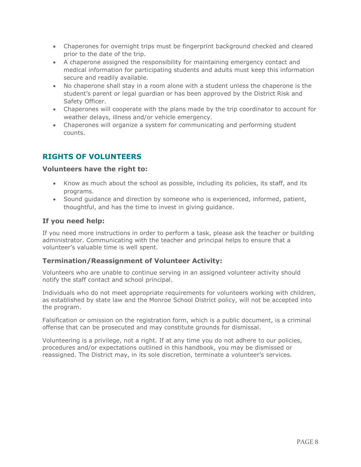- Chaperones for overnight trips must be fingerprint background checked and cleared prior to the date of the trip.
- A chaperone assigned the responsibility for maintaining emergency contact and medical information for participating students and adults must keep this information secure and readily available.
- No chaperone shall stay in a room alone with a student unless the chaperone is the student's parent or legal guardian or has been approved by the District Risk and Safety Officer.
- Chaperones will cooperate with the plans made by the trip coordinator to account for weather delays, illness and/or vehicle emergency.
- Chaperones will organize a system for communicating and performing student counts.

# **RIGHTS OF VOLUNTEERS**

#### **Volunteers have the right to:**

- Know as much about the school as possible, including its policies, its staff, and its programs.
- Sound guidance and direction by someone who is experienced, informed, patient, thoughtful, and has the time to invest in giving guidance.

#### **If you need help:**

If you need more instructions in order to perform a task, please ask the teacher or building administrator. Communicating with the teacher and principal helps to ensure that a volunteer's valuable time is well spent.

#### **Termination/Reassignment of Volunteer Activity:**

Volunteers who are unable to continue serving in an assigned volunteer activity should notify the staff contact and school principal.

Individuals who do not meet appropriate requirements for volunteers working with children, as established by state law and the Monroe School District policy, will not be accepted into the program.

Falsification or omission on the registration form, which is a public document, is a criminal offense that can be prosecuted and may constitute grounds for dismissal.

Volunteering is a privilege, not a right. If at any time you do not adhere to our policies, procedures and/or expectations outlined in this handbook, you may be dismissed or reassigned. The District may, in its sole discretion, terminate a volunteer's services.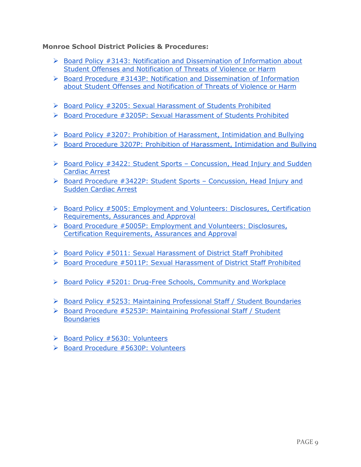# **Monroe School District Policies & Procedures:**

- $\triangleright$  Board Policy #3143: Notification and Dissemination of Information about [Student Offenses and Notification of Threats of Violence or Harm](https://go.boarddocs.com/wa/mpswa/Board.nsf/Public)
- $\triangleright$  Board Procedure #3143P: Notification and Dissemination of Information [about Student Offenses and Notification of Threats of Violence or Harm](https://go.boarddocs.com/wa/mpswa/Board.nsf/Public)
- ▶ [Board Policy #3205: Sexual Harassment of Students Prohibited](http://go.boarddocs.com/wa/mpswa/Board.nsf/goto?open&id=AUENYH61D61E)
- $\triangleright$  [Board Procedure #3205P: Sexual Harassment of Students Prohibited](http://go.boarddocs.com/wa/mpswa/Board.nsf/goto?open&id=AUENYG61D61D)
- $\triangleright$  [Board Policy #3207: Prohibition of Harassment, Intimidation and Bullying](http://go.boarddocs.com/wa/mpswa/Board.nsf/goto?open&id=AUENYK61D621)
- [Board Procedure 3207P: Prohibition of Harassment, Intimidation and Bullying](http://go.boarddocs.com/wa/mpswa/Board.nsf/goto?open&id=AUENYJ61D620)
- $\triangleright$  Board Policy #3422: Student Sports Concussion, Head Injury and Sudden [Cardiac Arrest](http://go.boarddocs.com/wa/mpswa/Board.nsf/goto?open&id=AUEP2461D67D)
- $\triangleright$  Board Procedure #3422P: Student Sports Concussion, Head Injury and [Sudden Cardiac Arrest](http://go.boarddocs.com/wa/mpswa/Board.nsf/goto?open&id=AUEP2361D67B)
- $\triangleright$  Board Policy #5005: Employment and Volunteers: Disclosures, Certification [Requirements, Assurances and Approval](http://go.boarddocs.com/wa/mpswa/Board.nsf/goto?open&id=BF3N3P5DC3E1)
- $\triangleright$  Board Procedure #5005P: Employment and Volunteers: Disclosures, [Certification Requirements, Assurances and Approval](https://go.boarddocs.com/wa/mpswa/Board.nsf/Public)
- $\triangleright$  [Board Policy #5011: Sexual Harassment of District Staff Prohibited](http://go.boarddocs.com/wa/mpswa/Board.nsf/goto?open&id=ASAUEM79489F)
- [Board Procedure #5011P: Sexual Harassment of District Staff Prohibited](http://go.boarddocs.com/wa/mpswa/Board.nsf/goto?open&id=ASAUEL79489E)
- ▶ [Board Policy #5201: Drug-Free Schools, Community and Workplace](http://go.boarddocs.com/wa/mpswa/Board.nsf/goto?open&id=ASAUEQ7948A4)
- $\triangleright$  [Board Policy #5253: Maintaining Professional Staff / Student Boundaries](http://go.boarddocs.com/wa/mpswa/Board.nsf/goto?open&id=ASAUEY7948B3)
- [Board Procedure #5253P: Maintaining Professional Staff / Student](http://go.boarddocs.com/wa/mpswa/Board.nsf/goto?open&id=ASAUEZ7948B4)  **[Boundaries](http://go.boarddocs.com/wa/mpswa/Board.nsf/goto?open&id=ASAUEZ7948B4)**
- $\triangleright$  [Board Policy #5630: Volunteers](http://go.boarddocs.com/wa/mpswa/Board.nsf/goto?open&id=ASAUFM7948D1)
- $\triangleright$  [Board Procedure #5630P: Volunteers](http://go.boarddocs.com/wa/mpswa/Board.nsf/goto?open&id=ASAUFL7948CF)